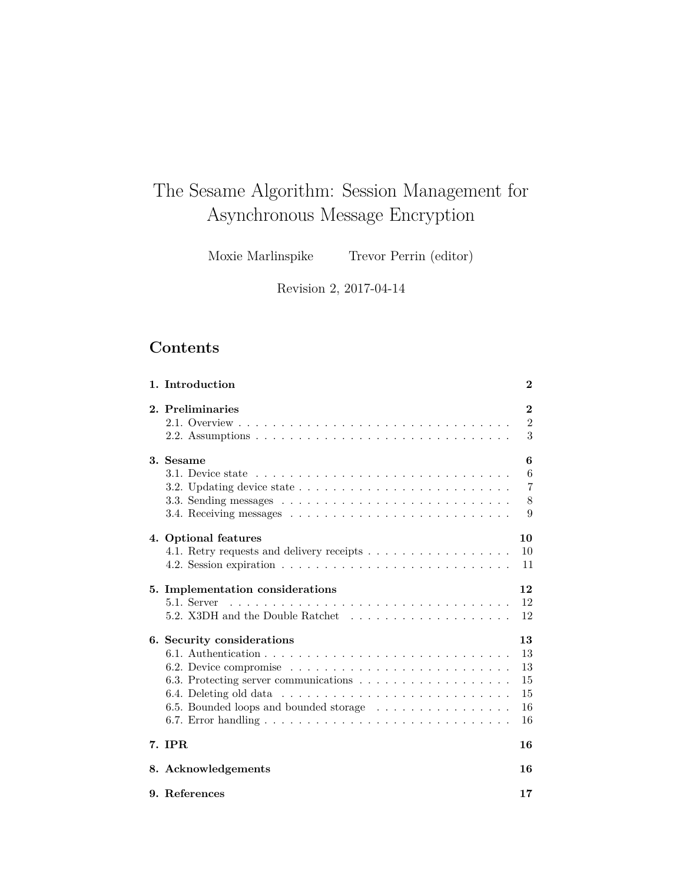# <span id="page-0-0"></span>The Sesame Algorithm: Session Management for Asynchronous Message Encryption

Moxie Marlinspike Trevor Perrin (editor)

Revision 2, 2017-04-14

## **Contents**

| 1. Introduction                                                                                                  | $\bf{2}$       |
|------------------------------------------------------------------------------------------------------------------|----------------|
| 2. Preliminaries                                                                                                 | $\bf{2}$       |
|                                                                                                                  | $\overline{2}$ |
|                                                                                                                  | 3              |
| 3. Sesame                                                                                                        | 6              |
|                                                                                                                  | 6              |
| 3.2. Updating device state $\ldots$ , $\ldots$ , $\ldots$ , $\ldots$ , $\ldots$ , $\ldots$ , $\ldots$ , $\ldots$ | $\overline{7}$ |
|                                                                                                                  | 8              |
|                                                                                                                  | 9              |
| 4. Optional features                                                                                             | 10             |
| 4.1. Retry requests and delivery receipts                                                                        | 10             |
|                                                                                                                  | 11             |
| 5. Implementation considerations                                                                                 | 12             |
| 5.1. Server                                                                                                      | 12             |
| 5.2. X3DH and the Double Ratchet                                                                                 | 12             |
| 6. Security considerations                                                                                       | 13             |
|                                                                                                                  | 13             |
|                                                                                                                  | 13             |
|                                                                                                                  | 15             |
|                                                                                                                  | 15             |
| 6.5. Bounded loops and bounded storage                                                                           | 16             |
|                                                                                                                  | 16             |
| 7. IPR                                                                                                           | 16             |
| 8. Acknowledgements                                                                                              | 16             |
| 9. References                                                                                                    | 17             |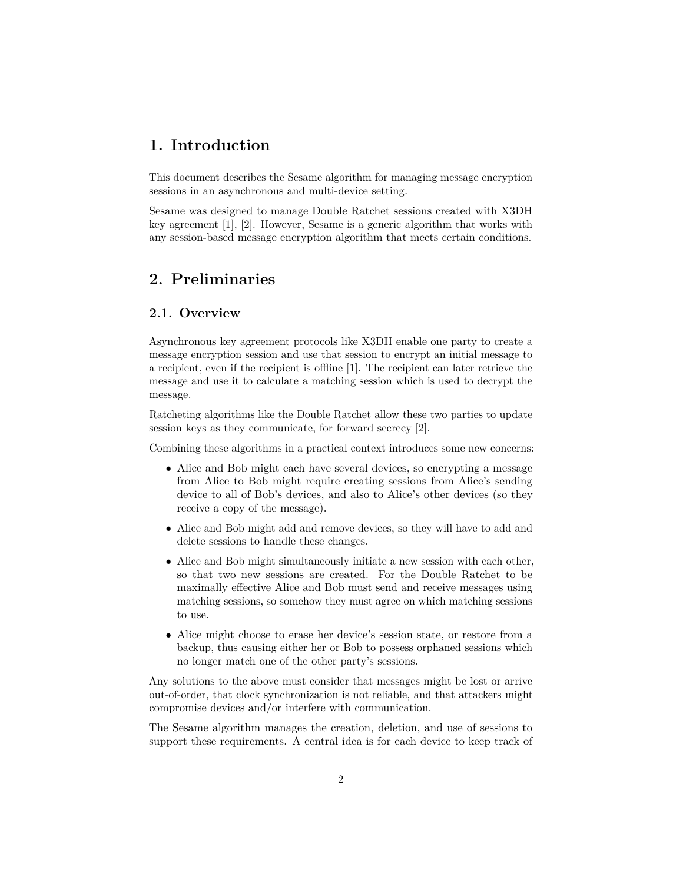### <span id="page-1-0"></span>**1. Introduction**

This document describes the Sesame algorithm for managing message encryption sessions in an asynchronous and multi-device setting.

Sesame was designed to manage Double Ratchet sessions created with X3DH key agreement [\[1\]](#page-16-1), [\[2\]](#page-16-2). However, Sesame is a generic algorithm that works with any session-based message encryption algorithm that meets certain conditions.

### <span id="page-1-1"></span>**2. Preliminaries**

### <span id="page-1-2"></span>**2.1. Overview**

Asynchronous key agreement protocols like X3DH enable one party to create a message encryption session and use that session to encrypt an initial message to a recipient, even if the recipient is offline [\[1\]](#page-16-1). The recipient can later retrieve the message and use it to calculate a matching session which is used to decrypt the message.

Ratcheting algorithms like the Double Ratchet allow these two parties to update session keys as they communicate, for forward secrecy [\[2\]](#page-16-2).

Combining these algorithms in a practical context introduces some new concerns:

- Alice and Bob might each have several devices, so encrypting a message from Alice to Bob might require creating sessions from Alice's sending device to all of Bob's devices, and also to Alice's other devices (so they receive a copy of the message).
- Alice and Bob might add and remove devices, so they will have to add and delete sessions to handle these changes.
- Alice and Bob might simultaneously initiate a new session with each other, so that two new sessions are created. For the Double Ratchet to be maximally effective Alice and Bob must send and receive messages using matching sessions, so somehow they must agree on which matching sessions to use.
- Alice might choose to erase her device's session state, or restore from a backup, thus causing either her or Bob to possess orphaned sessions which no longer match one of the other party's sessions.

Any solutions to the above must consider that messages might be lost or arrive out-of-order, that clock synchronization is not reliable, and that attackers might compromise devices and/or interfere with communication.

The Sesame algorithm manages the creation, deletion, and use of sessions to support these requirements. A central idea is for each device to keep track of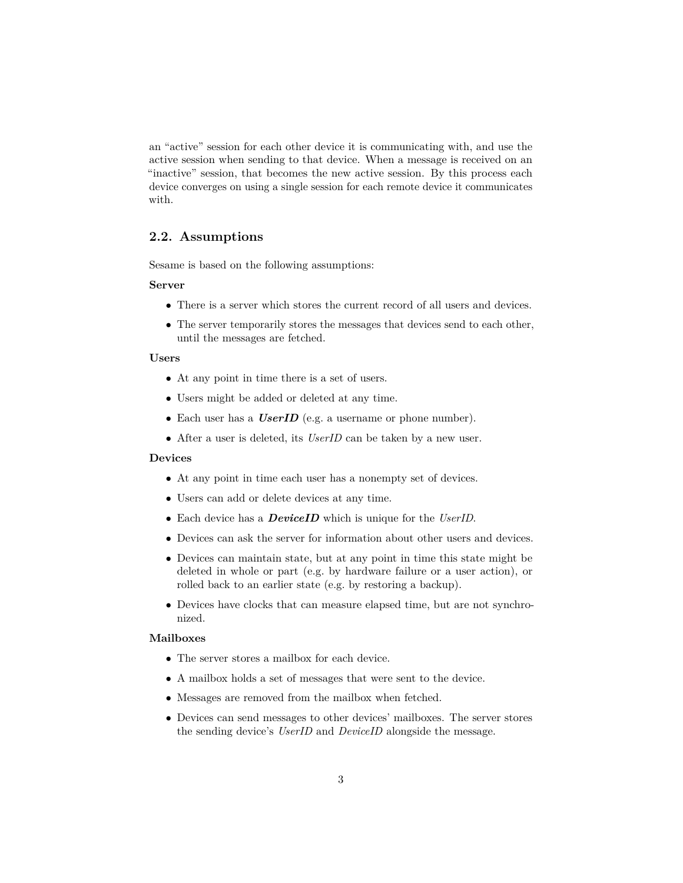an "active" session for each other device it is communicating with, and use the active session when sending to that device. When a message is received on an "inactive" session, that becomes the new active session. By this process each device converges on using a single session for each remote device it communicates with.

### <span id="page-2-0"></span>**2.2. Assumptions**

Sesame is based on the following assumptions:

#### **Server**

- There is a server which stores the current record of all users and devices.
- The server temporarily stores the messages that devices send to each other, until the messages are fetched.

#### **Users**

- At any point in time there is a set of users.
- Users might be added or deleted at any time.
- Each user has a *UserID* (e.g. a username or phone number).
- After a user is deleted, its *UserID* can be taken by a new user.

#### **Devices**

- At any point in time each user has a nonempty set of devices.
- Users can add or delete devices at any time.
- Each device has a *DeviceID* which is unique for the *UserID*.
- Devices can ask the server for information about other users and devices.
- Devices can maintain state, but at any point in time this state might be deleted in whole or part (e.g. by hardware failure or a user action), or rolled back to an earlier state (e.g. by restoring a backup).
- Devices have clocks that can measure elapsed time, but are not synchronized.

### **Mailboxes**

- The server stores a mailbox for each device.
- A mailbox holds a set of messages that were sent to the device.
- Messages are removed from the mailbox when fetched.
- Devices can send messages to other devices' mailboxes. The server stores the sending device's *UserID* and *DeviceID* alongside the message.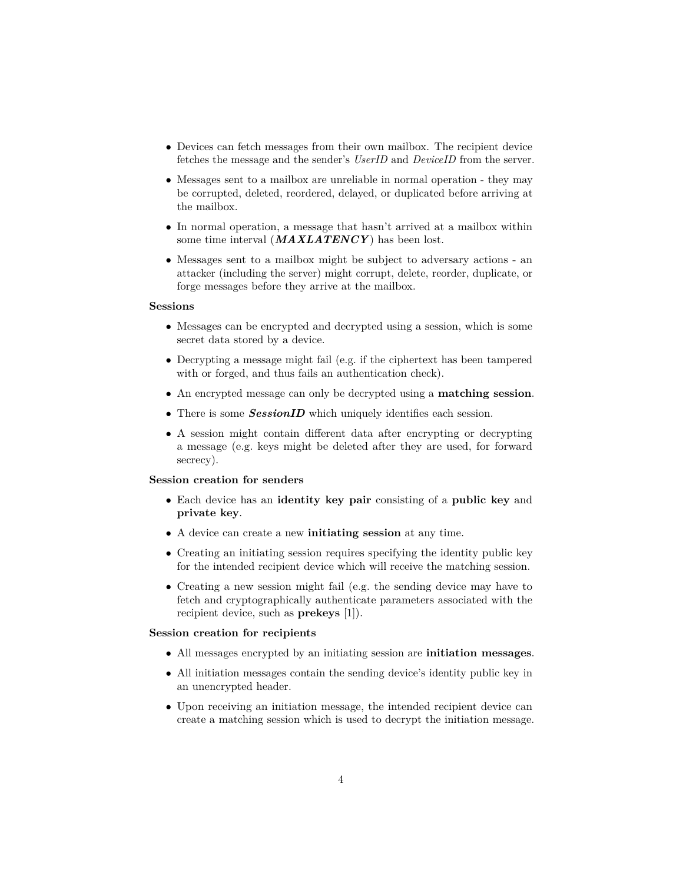- Devices can fetch messages from their own mailbox. The recipient device fetches the message and the sender's *UserID* and *DeviceID* from the server.
- Messages sent to a mailbox are unreliable in normal operation they may be corrupted, deleted, reordered, delayed, or duplicated before arriving at the mailbox.
- In normal operation, a message that hasn't arrived at a mailbox within some time interval (*MAXLATENCY* ) has been lost.
- Messages sent to a mailbox might be subject to adversary actions an attacker (including the server) might corrupt, delete, reorder, duplicate, or forge messages before they arrive at the mailbox.

#### **Sessions**

- Messages can be encrypted and decrypted using a session, which is some secret data stored by a device.
- Decrypting a message might fail (e.g. if the ciphertext has been tampered with or forged, and thus fails an authentication check).
- An encrypted message can only be decrypted using a **matching session**.
- There is some *SessionID* which uniquely identifies each session.
- A session might contain different data after encrypting or decrypting a message (e.g. keys might be deleted after they are used, for forward secrecy).

#### **Session creation for senders**

- Each device has an **identity key pair** consisting of a **public key** and **private key**.
- A device can create a new **initiating session** at any time.
- Creating an initiating session requires specifying the identity public key for the intended recipient device which will receive the matching session.
- Creating a new session might fail (e.g. the sending device may have to fetch and cryptographically authenticate parameters associated with the recipient device, such as **prekeys** [\[1\]](#page-16-1)).

#### **Session creation for recipients**

- All messages encrypted by an initiating session are **initiation messages**.
- All initiation messages contain the sending device's identity public key in an unencrypted header.
- Upon receiving an initiation message, the intended recipient device can create a matching session which is used to decrypt the initiation message.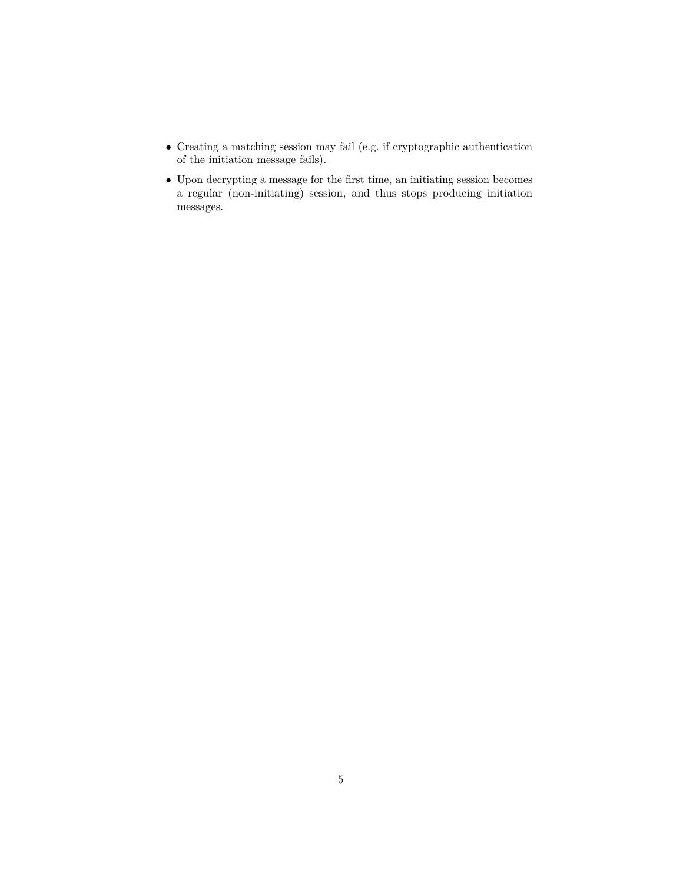- $\bullet\,$  Creating a matching session may fail (e.g. if cryptographic authentication of the initiation message fails).
- $\bullet\,$  Upon decrypting a message for the first time, an initiating session becomes a regular (non-initiating) session, and thus stops producing initiation messages.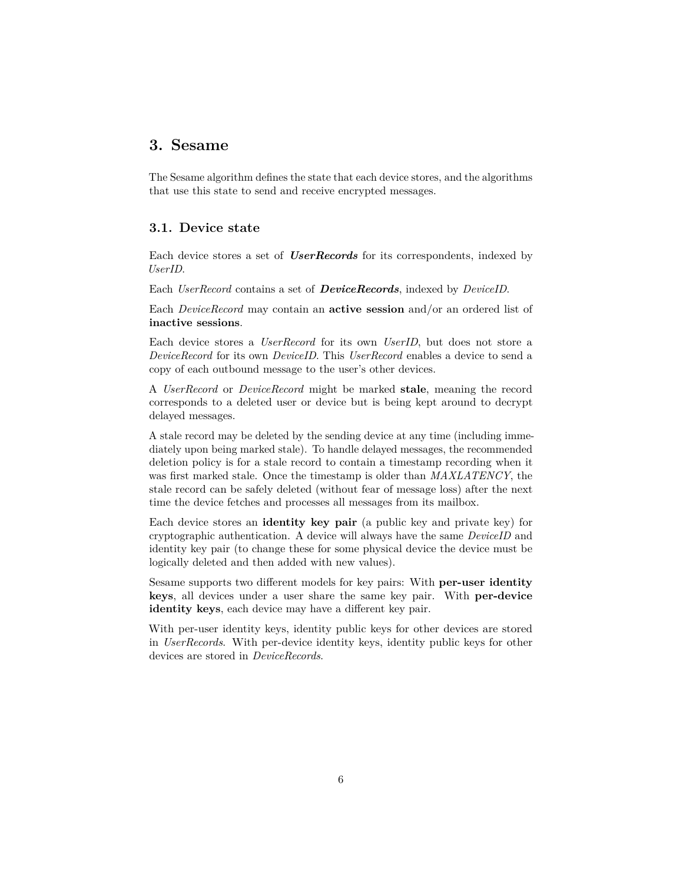### <span id="page-5-0"></span>**3. Sesame**

<span id="page-5-2"></span>The Sesame algorithm defines the state that each device stores, and the algorithms that use this state to send and receive encrypted messages.

### <span id="page-5-1"></span>**3.1. Device state**

Each device stores a set of *UserRecords* for its correspondents, indexed by *UserID*.

Each *UserRecord* contains a set of *DeviceRecords*, indexed by *DeviceID*.

Each *DeviceRecord* may contain an **active session** and/or an ordered list of **inactive sessions**.

Each device stores a *UserRecord* for its own *UserID*, but does not store a *DeviceRecord* for its own *DeviceID*. This *UserRecord* enables a device to send a copy of each outbound message to the user's other devices.

A *UserRecord* or *DeviceRecord* might be marked **stale**, meaning the record corresponds to a deleted user or device but is being kept around to decrypt delayed messages.

A stale record may be deleted by the sending device at any time (including immediately upon being marked stale). To handle delayed messages, the recommended deletion policy is for a stale record to contain a timestamp recording when it was first marked stale. Once the timestamp is older than *MAXLATENCY*, the stale record can be safely deleted (without fear of message loss) after the next time the device fetches and processes all messages from its mailbox.

Each device stores an **identity key pair** (a public key and private key) for cryptographic authentication. A device will always have the same *DeviceID* and identity key pair (to change these for some physical device the device must be logically deleted and then added with new values).

Sesame supports two different models for key pairs: With **per-user identity keys**, all devices under a user share the same key pair. With **per-device identity keys**, each device may have a different key pair.

With per-user identity keys, identity public keys for other devices are stored in *UserRecords*. With per-device identity keys, identity public keys for other devices are stored in *DeviceRecords*.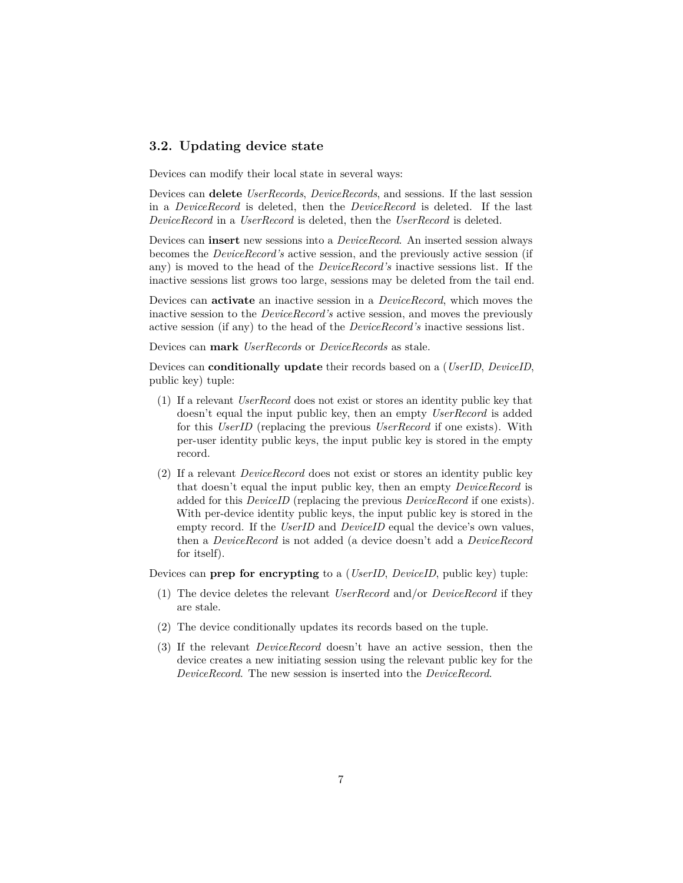### <span id="page-6-0"></span>**3.2. Updating device state**

Devices can modify their local state in several ways:

Devices can **delete** *UserRecords*, *DeviceRecords*, and sessions. If the last session in a *DeviceRecord* is deleted, then the *DeviceRecord* is deleted. If the last *DeviceRecord* in a *UserRecord* is deleted, then the *UserRecord* is deleted.

Devices can **insert** new sessions into a *DeviceRecord*. An inserted session always becomes the *DeviceRecord's* active session, and the previously active session (if any) is moved to the head of the *DeviceRecord's* inactive sessions list. If the inactive sessions list grows too large, sessions may be deleted from the tail end.

Devices can **activate** an inactive session in a *DeviceRecord*, which moves the inactive session to the *DeviceRecord's* active session, and moves the previously active session (if any) to the head of the *DeviceRecord's* inactive sessions list.

Devices can **mark** *UserRecords* or *DeviceRecords* as stale.

Devices can **conditionally update** their records based on a (*UserID*, *DeviceID*, public key) tuple:

- (1) If a relevant *UserRecord* does not exist or stores an identity public key that doesn't equal the input public key, then an empty *UserRecord* is added for this *UserID* (replacing the previous *UserRecord* if one exists). With per-user identity public keys, the input public key is stored in the empty record.
- (2) If a relevant *DeviceRecord* does not exist or stores an identity public key that doesn't equal the input public key, then an empty *DeviceRecord* is added for this *DeviceID* (replacing the previous *DeviceRecord* if one exists). With per-device identity public keys, the input public key is stored in the empty record. If the *UserID* and *DeviceID* equal the device's own values, then a *DeviceRecord* is not added (a device doesn't add a *DeviceRecord* for itself).

Devices can **prep for encrypting** to a (*UserID*, *DeviceID*, public key) tuple:

- (1) The device deletes the relevant *UserRecord* and/or *DeviceRecord* if they are stale.
- (2) The device conditionally updates its records based on the tuple.
- (3) If the relevant *DeviceRecord* doesn't have an active session, then the device creates a new initiating session using the relevant public key for the *DeviceRecord*. The new session is inserted into the *DeviceRecord*.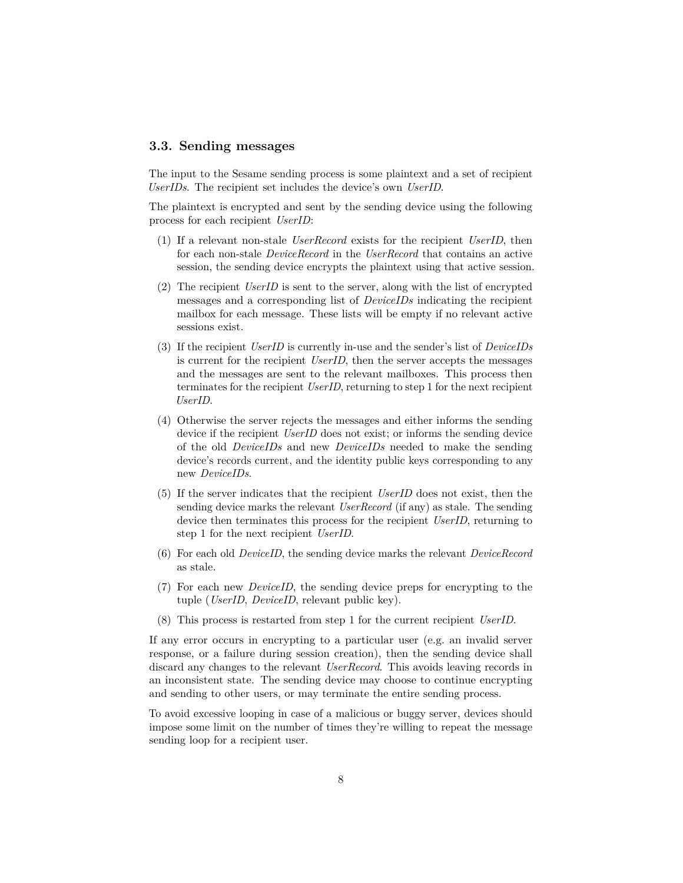### <span id="page-7-1"></span><span id="page-7-0"></span>**3.3. Sending messages**

The input to the Sesame sending process is some plaintext and a set of recipient *UserIDs*. The recipient set includes the device's own *UserID*.

The plaintext is encrypted and sent by the sending device using the following process for each recipient *UserID*:

- (1) If a relevant non-stale *UserRecord* exists for the recipient *UserID*, then for each non-stale *DeviceRecord* in the *UserRecord* that contains an active session, the sending device encrypts the plaintext using that active session.
- (2) The recipient *UserID* is sent to the server, along with the list of encrypted messages and a corresponding list of *DeviceIDs* indicating the recipient mailbox for each message. These lists will be empty if no relevant active sessions exist.
- (3) If the recipient *UserID* is currently in-use and the sender's list of *DeviceIDs* is current for the recipient *UserID*, then the server accepts the messages and the messages are sent to the relevant mailboxes. This process then terminates for the recipient *UserID*, returning to step 1 for the next recipient *UserID*.
- (4) Otherwise the server rejects the messages and either informs the sending device if the recipient *UserID* does not exist; or informs the sending device of the old *DeviceIDs* and new *DeviceIDs* needed to make the sending device's records current, and the identity public keys corresponding to any new *DeviceIDs*.
- (5) If the server indicates that the recipient *UserID* does not exist, then the sending device marks the relevant *UserRecord* (if any) as stale. The sending device then terminates this process for the recipient *UserID*, returning to step 1 for the next recipient *UserID*.
- (6) For each old *DeviceID*, the sending device marks the relevant *DeviceRecord* as stale.
- (7) For each new *DeviceID*, the sending device preps for encrypting to the tuple (*UserID*, *DeviceID*, relevant public key).
- (8) This process is restarted from step 1 for the current recipient *UserID*.

If any error occurs in encrypting to a particular user (e.g. an invalid server response, or a failure during session creation), then the sending device shall discard any changes to the relevant *UserRecord*. This avoids leaving records in an inconsistent state. The sending device may choose to continue encrypting and sending to other users, or may terminate the entire sending process.

To avoid excessive looping in case of a malicious or buggy server, devices should impose some limit on the number of times they're willing to repeat the message sending loop for a recipient user.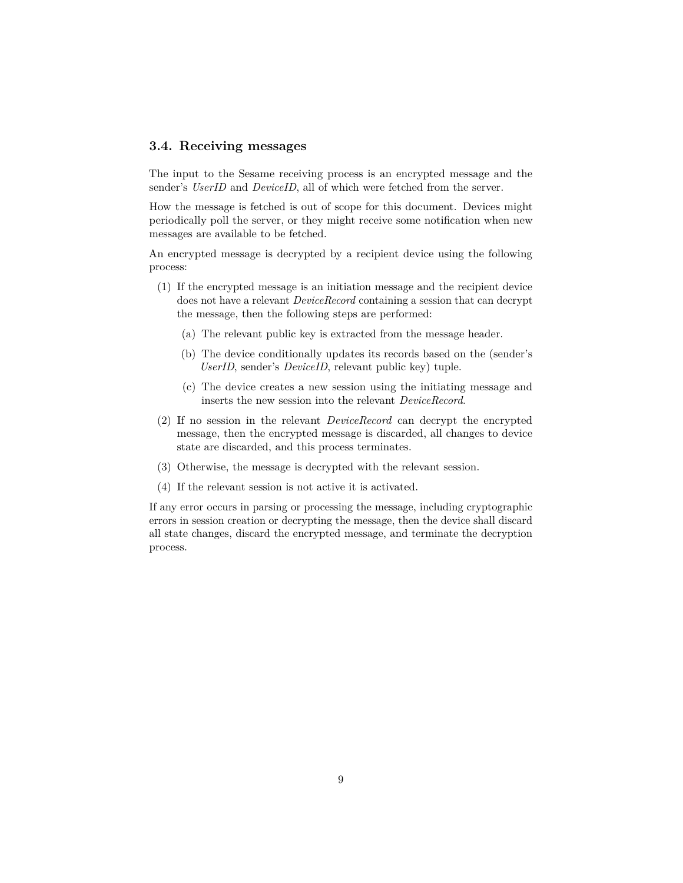### <span id="page-8-0"></span>**3.4. Receiving messages**

The input to the Sesame receiving process is an encrypted message and the sender's *UserID* and *DeviceID*, all of which were fetched from the server.

How the message is fetched is out of scope for this document. Devices might periodically poll the server, or they might receive some notification when new messages are available to be fetched.

An encrypted message is decrypted by a recipient device using the following process:

- (1) If the encrypted message is an initiation message and the recipient device does not have a relevant *DeviceRecord* containing a session that can decrypt the message, then the following steps are performed:
	- (a) The relevant public key is extracted from the message header.
	- (b) The device conditionally updates its records based on the (sender's *UserID*, sender's *DeviceID*, relevant public key) tuple.
	- (c) The device creates a new session using the initiating message and inserts the new session into the relevant *DeviceRecord*.
- (2) If no session in the relevant *DeviceRecord* can decrypt the encrypted message, then the encrypted message is discarded, all changes to device state are discarded, and this process terminates.
- (3) Otherwise, the message is decrypted with the relevant session.
- (4) If the relevant session is not active it is activated.

If any error occurs in parsing or processing the message, including cryptographic errors in session creation or decrypting the message, then the device shall discard all state changes, discard the encrypted message, and terminate the decryption process.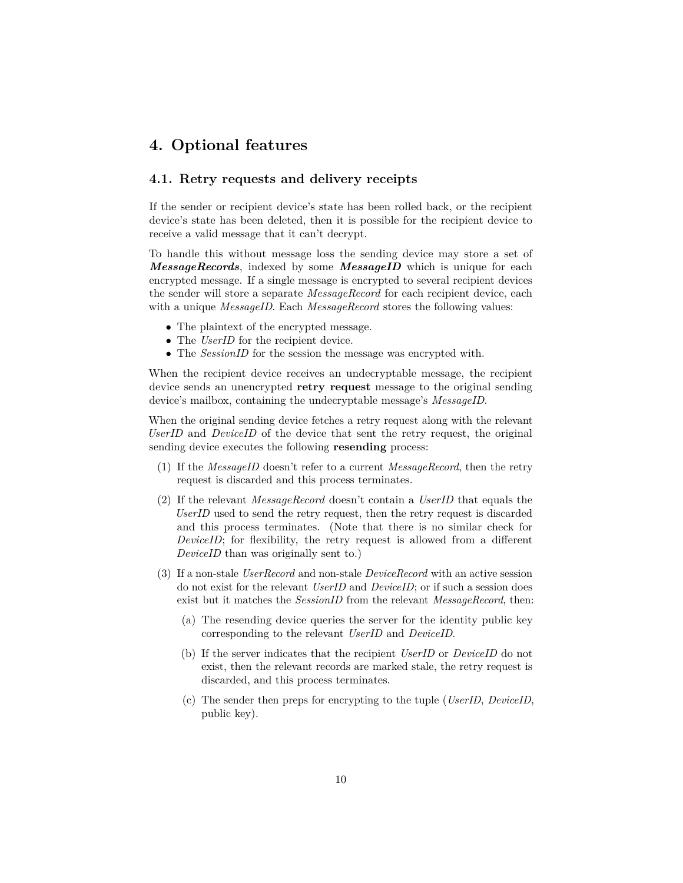### <span id="page-9-0"></span>**4. Optional features**

#### <span id="page-9-2"></span><span id="page-9-1"></span>**4.1. Retry requests and delivery receipts**

If the sender or recipient device's state has been rolled back, or the recipient device's state has been deleted, then it is possible for the recipient device to receive a valid message that it can't decrypt.

To handle this without message loss the sending device may store a set of *MessageRecords*, indexed by some *MessageID* which is unique for each encrypted message. If a single message is encrypted to several recipient devices the sender will store a separate *MessageRecord* for each recipient device, each with a unique *MessageID*. Each *MessageRecord* stores the following values:

- The plaintext of the encrypted message.
- The *UserID* for the recipient device.
- The *SessionID* for the session the message was encrypted with.

When the recipient device receives an undecryptable message, the recipient device sends an unencrypted **retry request** message to the original sending device's mailbox, containing the undecryptable message's *MessageID*.

When the original sending device fetches a retry request along with the relevant *UserID* and *DeviceID* of the device that sent the retry request, the original sending device executes the following **resending** process:

- (1) If the *MessageID* doesn't refer to a current *MessageRecord*, then the retry request is discarded and this process terminates.
- (2) If the relevant *MessageRecord* doesn't contain a *UserID* that equals the *UserID* used to send the retry request, then the retry request is discarded and this process terminates. (Note that there is no similar check for *DeviceID*; for flexibility, the retry request is allowed from a different *DeviceID* than was originally sent to.)
- (3) If a non-stale *UserRecord* and non-stale *DeviceRecord* with an active session do not exist for the relevant *UserID* and *DeviceID*; or if such a session does exist but it matches the *SessionID* from the relevant *MessageRecord*, then:
	- (a) The resending device queries the server for the identity public key corresponding to the relevant *UserID* and *DeviceID*.
	- (b) If the server indicates that the recipient *UserID* or *DeviceID* do not exist, then the relevant records are marked stale, the retry request is discarded, and this process terminates.
	- (c) The sender then preps for encrypting to the tuple (*UserID*, *DeviceID*, public key).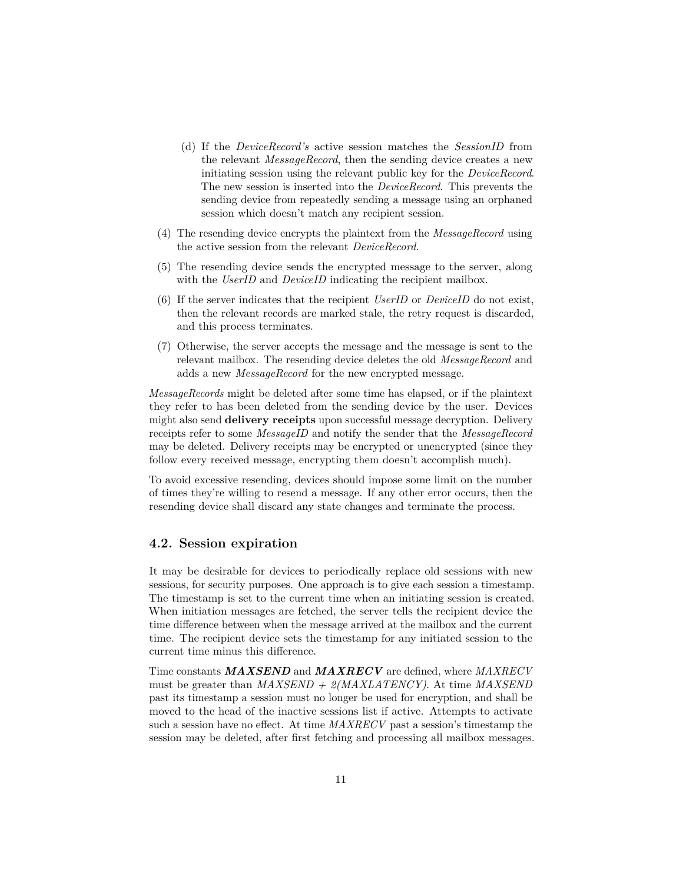- (d) If the *DeviceRecord's* active session matches the *SessionID* from the relevant *MessageRecord*, then the sending device creates a new initiating session using the relevant public key for the *DeviceRecord*. The new session is inserted into the *DeviceRecord*. This prevents the sending device from repeatedly sending a message using an orphaned session which doesn't match any recipient session.
- (4) The resending device encrypts the plaintext from the *MessageRecord* using the active session from the relevant *DeviceRecord*.
- (5) The resending device sends the encrypted message to the server, along with the *UserID* and *DeviceID* indicating the recipient mailbox.
- (6) If the server indicates that the recipient *UserID* or *DeviceID* do not exist, then the relevant records are marked stale, the retry request is discarded, and this process terminates.
- (7) Otherwise, the server accepts the message and the message is sent to the relevant mailbox. The resending device deletes the old *MessageRecord* and adds a new *MessageRecord* for the new encrypted message.

*MessageRecords* might be deleted after some time has elapsed, or if the plaintext they refer to has been deleted from the sending device by the user. Devices might also send **delivery receipts** upon successful message decryption. Delivery receipts refer to some *MessageID* and notify the sender that the *MessageRecord* may be deleted. Delivery receipts may be encrypted or unencrypted (since they follow every received message, encrypting them doesn't accomplish much).

To avoid excessive resending, devices should impose some limit on the number of times they're willing to resend a message. If any other error occurs, then the resending device shall discard any state changes and terminate the process.

#### <span id="page-10-1"></span><span id="page-10-0"></span>**4.2. Session expiration**

It may be desirable for devices to periodically replace old sessions with new sessions, for security purposes. One approach is to give each session a timestamp. The timestamp is set to the current time when an initiating session is created. When initiation messages are fetched, the server tells the recipient device the time difference between when the message arrived at the mailbox and the current time. The recipient device sets the timestamp for any initiated session to the current time minus this difference.

Time constants *MAXSEND* and *MAXRECV* are defined, where *MAXRECV* must be greater than *MAXSEND + 2(MAXLATENCY)*. At time *MAXSEND* past its timestamp a session must no longer be used for encryption, and shall be moved to the head of the inactive sessions list if active. Attempts to activate such a session have no effect. At time *MAXRECV* past a session's timestamp the session may be deleted, after first fetching and processing all mailbox messages.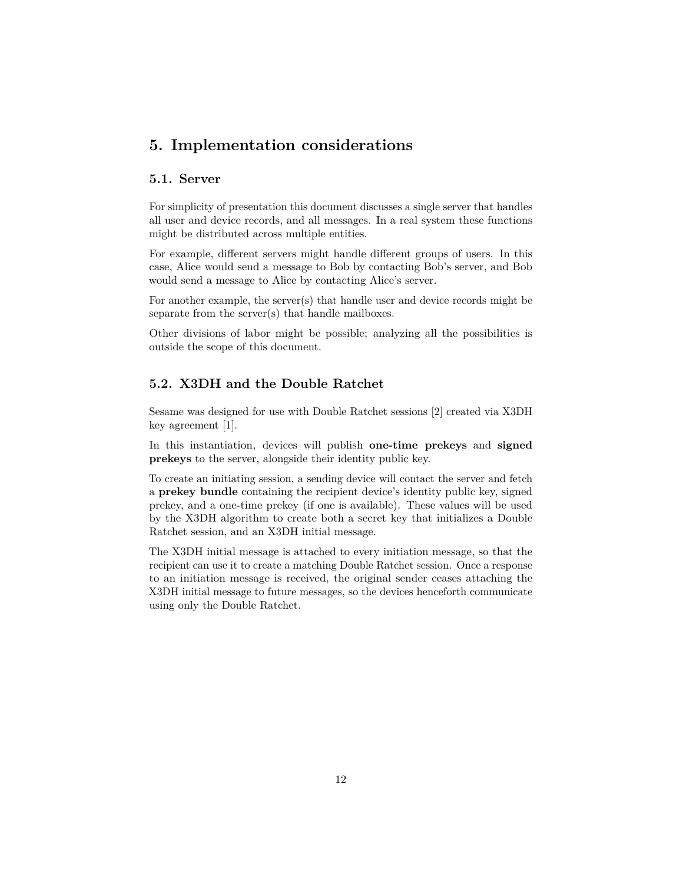### <span id="page-11-0"></span>**5. Implementation considerations**

### <span id="page-11-1"></span>**5.1. Server**

For simplicity of presentation this document discusses a single server that handles all user and device records, and all messages. In a real system these functions might be distributed across multiple entities.

For example, different servers might handle different groups of users. In this case, Alice would send a message to Bob by contacting Bob's server, and Bob would send a message to Alice by contacting Alice's server.

For another example, the server(s) that handle user and device records might be separate from the server(s) that handle mailboxes.

Other divisions of labor might be possible; analyzing all the possibilities is outside the scope of this document.

### <span id="page-11-2"></span>**5.2. X3DH and the Double Ratchet**

Sesame was designed for use with Double Ratchet sessions [\[2\]](#page-16-2) created via X3DH key agreement [\[1\]](#page-16-1).

In this instantiation, devices will publish **one-time prekeys** and **signed prekeys** to the server, alongside their identity public key.

To create an initiating session, a sending device will contact the server and fetch a **prekey bundle** containing the recipient device's identity public key, signed prekey, and a one-time prekey (if one is available). These values will be used by the X3DH algorithm to create both a secret key that initializes a Double Ratchet session, and an X3DH initial message.

The X3DH initial message is attached to every initiation message, so that the recipient can use it to create a matching Double Ratchet session. Once a response to an initiation message is received, the original sender ceases attaching the X3DH initial message to future messages, so the devices henceforth communicate using only the Double Ratchet.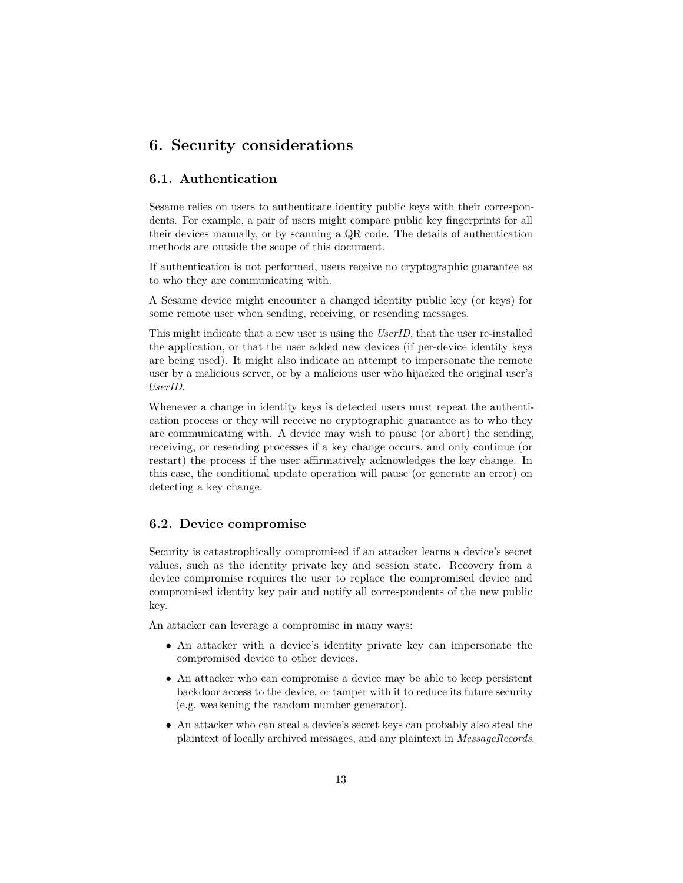### <span id="page-12-0"></span>**6. Security considerations**

### <span id="page-12-1"></span>**6.1. Authentication**

Sesame relies on users to authenticate identity public keys with their correspondents. For example, a pair of users might compare public key fingerprints for all their devices manually, or by scanning a QR code. The details of authentication methods are outside the scope of this document.

If authentication is not performed, users receive no cryptographic guarantee as to who they are communicating with.

A Sesame device might encounter a changed identity public key (or keys) for some remote user when sending, receiving, or resending messages.

This might indicate that a new user is using the *UserID*, that the user re-installed the application, or that the user added new devices (if per-device identity keys are being used). It might also indicate an attempt to impersonate the remote user by a malicious server, or by a malicious user who hijacked the original user's *UserID*.

Whenever a change in identity keys is detected users must repeat the authentication process or they will receive no cryptographic guarantee as to who they are communicating with. A device may wish to pause (or abort) the sending, receiving, or resending processes if a key change occurs, and only continue (or restart) the process if the user affirmatively acknowledges the key change. In this case, the conditional update operation will pause (or generate an error) on detecting a key change.

### <span id="page-12-2"></span>**6.2. Device compromise**

Security is catastrophically compromised if an attacker learns a device's secret values, such as the identity private key and session state. Recovery from a device compromise requires the user to replace the compromised device and compromised identity key pair and notify all correspondents of the new public key.

An attacker can leverage a compromise in many ways:

- An attacker with a device's identity private key can impersonate the compromised device to other devices.
- An attacker who can compromise a device may be able to keep persistent backdoor access to the device, or tamper with it to reduce its future security (e.g. weakening the random number generator).
- An attacker who can steal a device's secret keys can probably also steal the plaintext of locally archived messages, and any plaintext in *MessageRecords*.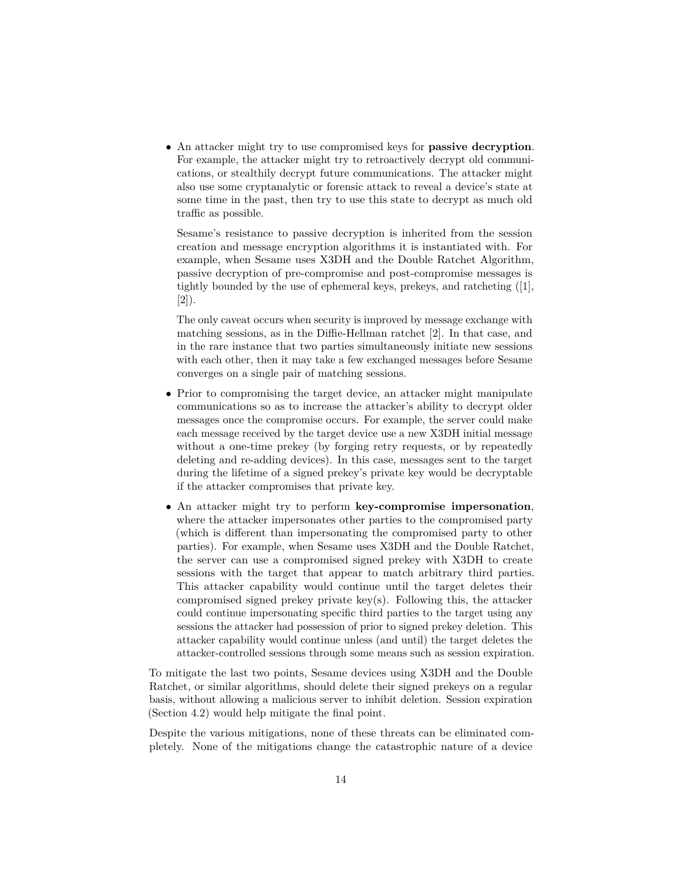• An attacker might try to use compromised keys for **passive decryption**. For example, the attacker might try to retroactively decrypt old communications, or stealthily decrypt future communications. The attacker might also use some cryptanalytic or forensic attack to reveal a device's state at some time in the past, then try to use this state to decrypt as much old traffic as possible.

Sesame's resistance to passive decryption is inherited from the session creation and message encryption algorithms it is instantiated with. For example, when Sesame uses X3DH and the Double Ratchet Algorithm, passive decryption of pre-compromise and post-compromise messages is tightly bounded by the use of ephemeral keys, prekeys, and ratcheting ([\[1\]](#page-16-1), [\[2\]](#page-16-2)).

The only caveat occurs when security is improved by message exchange with matching sessions, as in the Diffie-Hellman ratchet [\[2\]](#page-16-2). In that case, and in the rare instance that two parties simultaneously initiate new sessions with each other, then it may take a few exchanged messages before Sesame converges on a single pair of matching sessions.

- Prior to compromising the target device, an attacker might manipulate communications so as to increase the attacker's ability to decrypt older messages once the compromise occurs. For example, the server could make each message received by the target device use a new X3DH initial message without a one-time prekey (by forging retry requests, or by repeatedly deleting and re-adding devices). In this case, messages sent to the target during the lifetime of a signed prekey's private key would be decryptable if the attacker compromises that private key.
- An attacker might try to perform **key-compromise impersonation**, where the attacker impersonates other parties to the compromised party (which is different than impersonating the compromised party to other parties). For example, when Sesame uses X3DH and the Double Ratchet, the server can use a compromised signed prekey with X3DH to create sessions with the target that appear to match arbitrary third parties. This attacker capability would continue until the target deletes their compromised signed prekey private key(s). Following this, the attacker could continue impersonating specific third parties to the target using any sessions the attacker had possession of prior to signed prekey deletion. This attacker capability would continue unless (and until) the target deletes the attacker-controlled sessions through some means such as session expiration.

To mitigate the last two points, Sesame devices using X3DH and the Double Ratchet, or similar algorithms, should delete their signed prekeys on a regular basis, without allowing a malicious server to inhibit deletion. Session expiration [\(Section 4.2\)](#page-10-1) would help mitigate the final point.

Despite the various mitigations, none of these threats can be eliminated completely. None of the mitigations change the catastrophic nature of a device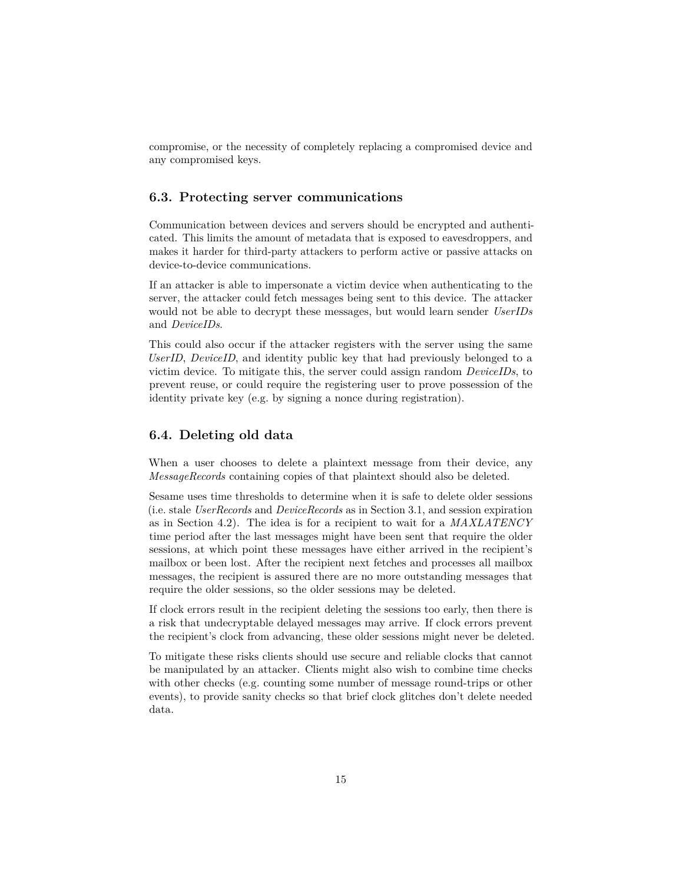compromise, or the necessity of completely replacing a compromised device and any compromised keys.

### <span id="page-14-0"></span>**6.3. Protecting server communications**

Communication between devices and servers should be encrypted and authenticated. This limits the amount of metadata that is exposed to eavesdroppers, and makes it harder for third-party attackers to perform active or passive attacks on device-to-device communications.

If an attacker is able to impersonate a victim device when authenticating to the server, the attacker could fetch messages being sent to this device. The attacker would not be able to decrypt these messages, but would learn sender *UserIDs* and *DeviceIDs*.

This could also occur if the attacker registers with the server using the same *UserID*, *DeviceID*, and identity public key that had previously belonged to a victim device. To mitigate this, the server could assign random *DeviceIDs*, to prevent reuse, or could require the registering user to prove possession of the identity private key (e.g. by signing a nonce during registration).

### <span id="page-14-1"></span>**6.4. Deleting old data**

When a user chooses to delete a plaintext message from their device, any *MessageRecords* containing copies of that plaintext should also be deleted.

Sesame uses time thresholds to determine when it is safe to delete older sessions (i.e. stale *UserRecords* and *DeviceRecords* as in [Section 3.1,](#page-5-2) and session expiration as in [Section 4.2\)](#page-0-0). The idea is for a recipient to wait for a *MAXLATENCY* time period after the last messages might have been sent that require the older sessions, at which point these messages have either arrived in the recipient's mailbox or been lost. After the recipient next fetches and processes all mailbox messages, the recipient is assured there are no more outstanding messages that require the older sessions, so the older sessions may be deleted.

If clock errors result in the recipient deleting the sessions too early, then there is a risk that undecryptable delayed messages may arrive. If clock errors prevent the recipient's clock from advancing, these older sessions might never be deleted.

To mitigate these risks clients should use secure and reliable clocks that cannot be manipulated by an attacker. Clients might also wish to combine time checks with other checks (e.g. counting some number of message round-trips or other events), to provide sanity checks so that brief clock glitches don't delete needed data.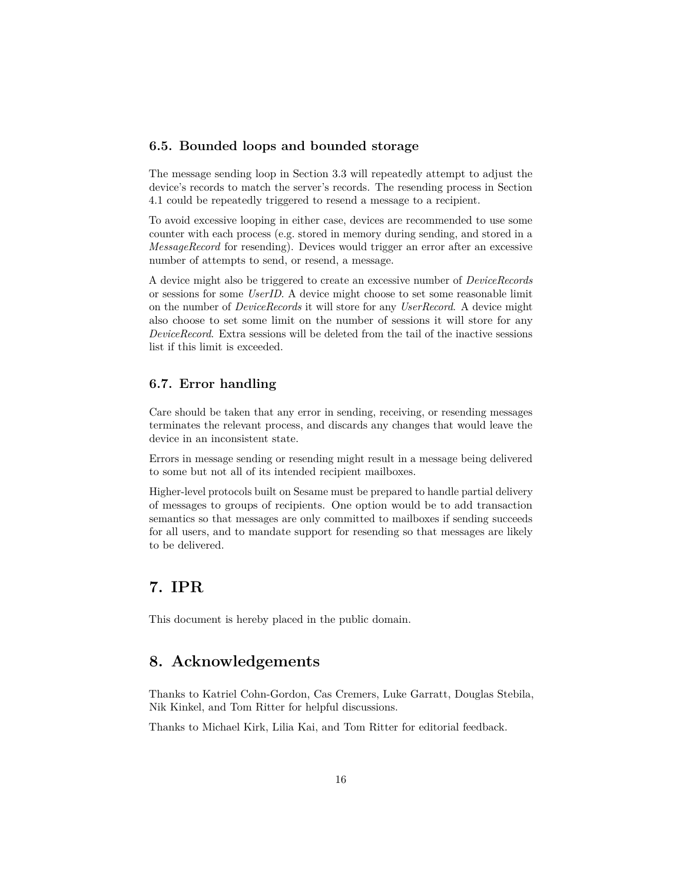### <span id="page-15-0"></span>**6.5. Bounded loops and bounded storage**

The message sending loop in [Section 3.3](#page-7-1) will repeatedly attempt to adjust the device's records to match the server's records. The resending process in [Section](#page-9-2) [4.1](#page-9-2) could be repeatedly triggered to resend a message to a recipient.

To avoid excessive looping in either case, devices are recommended to use some counter with each process (e.g. stored in memory during sending, and stored in a *MessageRecord* for resending). Devices would trigger an error after an excessive number of attempts to send, or resend, a message.

A device might also be triggered to create an excessive number of *DeviceRecords* or sessions for some *UserID*. A device might choose to set some reasonable limit on the number of *DeviceRecords* it will store for any *UserRecord*. A device might also choose to set some limit on the number of sessions it will store for any *DeviceRecord*. Extra sessions will be deleted from the tail of the inactive sessions list if this limit is exceeded.

### <span id="page-15-1"></span>**6.7. Error handling**

Care should be taken that any error in sending, receiving, or resending messages terminates the relevant process, and discards any changes that would leave the device in an inconsistent state.

Errors in message sending or resending might result in a message being delivered to some but not all of its intended recipient mailboxes.

Higher-level protocols built on Sesame must be prepared to handle partial delivery of messages to groups of recipients. One option would be to add transaction semantics so that messages are only committed to mailboxes if sending succeeds for all users, and to mandate support for resending so that messages are likely to be delivered.

### <span id="page-15-2"></span>**7. IPR**

This document is hereby placed in the public domain.

### <span id="page-15-3"></span>**8. Acknowledgements**

Thanks to Katriel Cohn-Gordon, Cas Cremers, Luke Garratt, Douglas Stebila, Nik Kinkel, and Tom Ritter for helpful discussions.

Thanks to Michael Kirk, Lilia Kai, and Tom Ritter for editorial feedback.